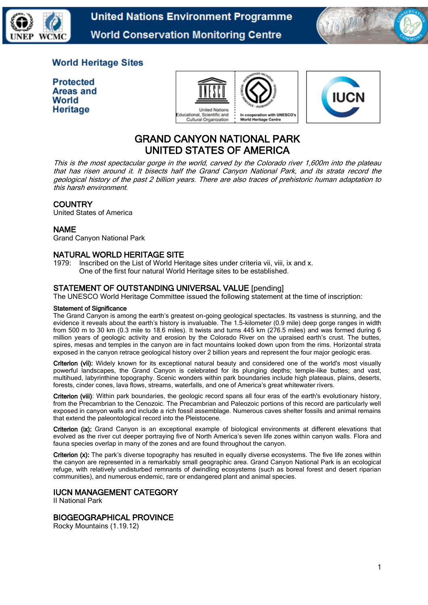



## **World Heritage Sites**

**Protected Areas and** World Heritage





# GRAND CANYON NATIONAL PARK UNITED STATES OF AMERICA

This is the most spectacular gorge in the world, carved by the Colorado river 1,600m into the plateau that has risen around it. It bisects half the Grand Canyon National Park, and its strata record the geological history of the past 2 billion years. There are also traces of prehistoric human adaptation to this harsh environment.

## **COUNTRY**

United States of America

#### NAME

Grand Canyon National Park

## NATURAL WORLD HERITAGE SITE

1979: Inscribed on the List of World Heritage sites under criteria vii, viii, ix and x. One of the first four natural World Heritage sites to be established.

## STATEMENT OF OUTSTANDING UNIVERSAL VALUE [pending]

The UNESCO World Heritage Committee issued the following statement at the time of inscription:

#### Statement of Significance

The Grand Canyon is among the earth's greatest on-going geological spectacles. Its vastness is stunning, and the evidence it reveals about the earth's history is invaluable. The 1.5-kilometer (0.9 mile) deep gorge ranges in width from 500 m to 30 km (0.3 mile to 18.6 miles). It twists and turns 445 km (276.5 miles) and was formed during 6 million years of geologic activity and erosion by the Colorado River on the upraised earth's crust. The buttes, spires, mesas and temples in the canyon are in fact mountains looked down upon from the rims. Horizontal strata exposed in the canyon retrace geological history over 2 billion years and represent the four major geologic eras.

Criterion (vii): Widely known for its exceptional natural beauty and considered one of the world's most visually powerful landscapes, the Grand Canyon is celebrated for its plunging depths; temple-like buttes; and vast, multihued, labyrinthine topography. Scenic wonders within park boundaries include high plateaus, plains, deserts, forests, cinder cones, lava flows, streams, waterfalls, and one of America's great whitewater rivers.

Criterion (viii): Within park boundaries, the geologic record spans all four eras of the earth's evolutionary history, from the Precambrian to the Cenozoic. The Precambrian and Paleozoic portions of this record are particularly well exposed in canyon walls and include a rich fossil assemblage. Numerous caves shelter fossils and animal remains that extend the paleontological record into the Pleistocene.

Criterion (ix): Grand Canyon is an exceptional example of biological environments at different elevations that evolved as the river cut deeper portraying five of North America's seven life zones within canyon walls. Flora and fauna species overlap in many of the zones and are found throughout the canyon.

Criterion (x): The park's diverse topography has resulted in equally diverse ecosystems. The five life zones within the canyon are represented in a remarkably small geographic area. Grand Canyon National Park is an ecological refuge, with relatively undisturbed remnants of dwindling ecosystems (such as boreal forest and desert riparian communities), and numerous endemic, rare or endangered plant and animal species.

## IUCN MANAGEMENT CATEGORY

II National Park

#### BIOGEOGRAPHICAL PROVINCE

Rocky Mountains (1.19.12)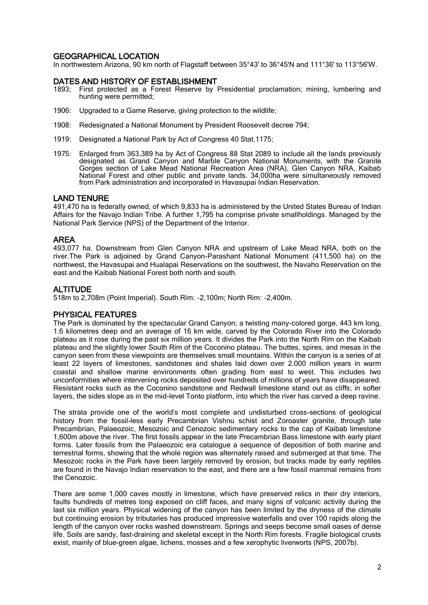## GEOGRAPHICAL LOCATION

In northwestern Arizona, 90 km north of Flagstaff between 35°43' to 36°45'N and 111°36' to 113°56'W.

#### DATES AND HISTORY OF ESTABLISHMENT

- 1893; First protected as a Forest Reserve by Presidential proclamation; mining, lumbering and hunting were permitted;
- 1906: Upgraded to a Game Reserve, giving protection to the wildlife;
- 1908: Redesignated a National Monument by President Roosevelt decree 794;
- 1919: Designated a National Park by Act of Congress 40 Stat.1175;
- 1975: Enlarged from 363,389 ha by Act of Congress 88 Stat 2089 to include all the lands previously designated as Grand Canyon and Marble Canyon National Monuments, with the Granite Gorges section of Lake Mead National Recreation Area (NRA), Glen Canyon NRA, Kaibab National Forest and other public and private lands. 34,000ha were simultaneously removed from Park administration and incorporated in Havasupai Indian Reservation.

#### LAND TENURE

491,470 ha is federally owned, of which 9,833 ha is administered by the United States Bureau of Indian Affairs for the Navajo Indian Tribe. A further 1,795 ha comprise private smallholdings. Managed by the National Park Service (NPS) of the Department of the Interior.

#### AREA

493,077 ha. Downstream from Glen Canyon NRA and upstream of Lake Mead NRA, both on the river.The Park is adjoined by Grand Canyon-Parashant National Monument (411,500 ha) on the northwest, the Havasupai and Hualapai Reservations on the southwest, the Navaho Reservation on the east and the Kaibab National Forest both north and south.

#### **ALTITUDE**

518m to 2,708m (Point Imperial). South Rim: ~2,100m; North Rim: ~2,400m.

#### PHYSICAL FEATURES

The Park is dominated by the spectacular Grand Canyon; a twisting many-colored gorge, 443 km long, 1.6 kilometres deep and an average of 16 km wide, carved by the Colorado River into the Colorado plateau as it rose during the past six million years. It divides the Park into the North Rim on the Kaibab plateau and the slightly lower South Rim of the Coconino plateau. The buttes, spires, and mesas in the canyon seen from these viewpoints are themselves small mountains. Within the canyon is a series of at least 22 layers of limestones, sandstones and shales laid down over 2.000 million years in warm coastal and shallow marine environments often grading from east to west. This includes two unconformities where intervening rocks deposited over hundreds of millions of years have disappeared. Resistant rocks such as the Coconino sandstone and Redwall limestone stand out as cliffs; in softer layers, the sides slope as in the mid-level Tonto platform, into which the river has carved a deep ravine.

The strata provide one of the world's most complete and undisturbed cross-sections of geological history from the fossil-less early Precambrian Vishnu schist and Zoroaster granite, through late Precambrian, Palaeozoic, Mesozoic and Cenozoic sedimentary rocks to the cap of Kaibab limestone 1,600m above the river. The first fossils appear in the late Precambrian Bass limestone with early plant forms. Later fossils from the Palaeozoic era catalogue a sequence of deposition of both marine and terrestrial forms, showing that the whole region was alternately raised and submerged at that time. The Mesozoic rocks in the Park have been largely removed by erosion, but tracks made by early reptiles are found in the Navajo Indian reservation to the east, and there are a few fossil mammal remains from the Cenozoic.

There are some 1,000 caves mostly in limestone, which have preserved relics in their dry interiors, faults hundreds of metres long exposed on cliff faces, and many signs of volcanic activity during the last six million years. Physical widening of the canyon has been limited by the dryness of the climate but continuing erosion by tributaries has produced impressive waterfalls and over 100 rapids along the length of the canyon over rocks washed downstream. Springs and seeps become small oases of dense life. Soils are sandy, fast-draining and skeletal except in the North Rim forests. Fragile biological crusts exist, mainly of blue-green algae, lichens, mosses and a few xerophytic liverworts (NPS, 2007b).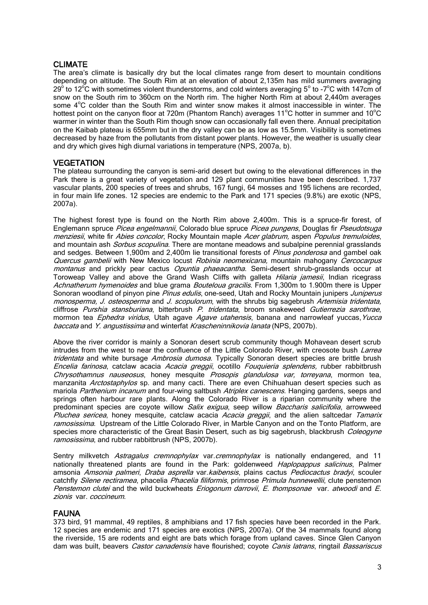## CLIMATE

The area's climate is basically dry but the local climates range from desert to mountain conditions depending on altitude. The South Rim at an elevation of about 2,135m has mild summers averaging 29<sup>o</sup> to 12<sup>o</sup>C with sometimes violent thunderstorms, and cold winters averaging 5<sup>o</sup> to -7<sup>o</sup>C with 147cm of snow on the South rim to 360cm on the North rim. The higher North Rim at about 2,440m averages some 4°C colder than the South Rim and winter snow makes it almost inaccessible in winter. The hottest point on the canyon floor at 720m (Phantom Ranch) averages 11°C hotter in summer and 10°C warmer in winter than the South Rim though snow can occasionally fall even there. Annual precipitation on the Kaibab plateau is 655mm but in the dry valley can be as low as 15.5mm. Visibility is sometimes decreased by haze from the pollutants from distant power plants. However, the weather is usually clear and dry which gives high diurnal variations in temperature (NPS, 2007a, b).

## **VEGETATION**

The plateau surrounding the canyon is semi-arid desert but owing to the elevational differences in the Park there is a great variety of vegetation and 129 plant communities have been described. 1,737 vascular plants, 200 species of trees and shrubs, 167 fungi, 64 mosses and 195 lichens are recorded, in four main life zones. 12 species are endemic to the Park and 171 species (9.8%) are exotic (NPS, 2007a).

The highest forest type is found on the North Rim above 2,400m. This is a spruce-fir forest, of Englemann spruce Picea engelmannii. Colorado blue spruce Picea pungens, Douglas fir Pseudotsuga menziesii, white fir Abies concolor, Rocky Mountain maple Acer glabrum, aspen Populus tremuloides, and mountain ash *Sorbus scopulina*. There are montane meadows and subalpine perennial grasslands and sedges. Between 1,900m and 2,400m lie transitional forests of *Pinus ponderosa* and gambel oak Quercus gambelii with New Mexico locust Robinia neomexicana, mountain mahogany Cercocarpus montanus and prickly pear cactus Opuntia phaeacantha. Semi-desert shrub-grasslands occur at Toroweap Valley and above the Grand Wash Cliffs with galleta Hilaria jamesii, Indian ricegrass Achnatherum hymenoides and blue grama Bouteloua gracilis. From 1,300m to 1.900m there is Upper Sonoran woodland of pinyon pine Pinus edulis, one-seed, Utah and Rocky Mountain junipers Juniperus monosperma, J. osteosperma and J. scopulorum, with the shrubs big sagebrush Artemisia tridentata, cliffrose Purshia stansburiana, bitterbrush P. tridentata, broom snakeweed Gutierrezia sarothrae, mormon tea Ephedra viridus, Utah agave Agave utahensis, banana and narrowleaf yuccas, Yucca baccata and Y. angustissima and winterfat Krascheninnikovia lanata (NPS, 2007b).

Above the river corridor is mainly a Sonoran desert scrub community though Mohavean desert scrub intrudes from the west to near the confluence of the Little Colorado River, with creosote bush Larrea tridentata and white bursage Ambrosia dumosa. Typically Sonoran desert species are brittle brush Encelia farinosa, catclaw acacia Acacia greggii, ocotillo Fouquieria splendens, rubber rabbitbrush Chrysothamnus nauseosus, honey mesquite Prosopis glandulosa var, torreyana, mormon tea, manzanita *Arctostaphylos* sp. and many cacti. There are even Chihuahuan desert species such as mariola Parthenium incanum and four-wing saltbush Atriplex canescens. Hanging gardens, seeps and springs often harbour rare plants. Along the Colorado River is a riparian community where the predominant species are coyote willow *Salix exigua*, seep willow *Baccharis salicifolia*, arrowweed Pluchea sericea, honey mesquite, catclaw acacia Acacia greggii, and the alien saltcedar Tamarix ramosissima. Upstream of the Little Colorado River, in Marble Canyon and on the Tonto Platform, are species more characteristic of the Great Basin Desert, such as big sagebrush, blackbrush Coleogyne ramosissima, and rubber rabbitbrush (NPS, 2007b).

Sentry milkvetch Astragalus cremnophylax var.cremnophylax is nationally endangered, and 11 nationally threatened plants are found in the Park: goldenweed *Haplopappus salicinus*, Palmer amsonia Amsonia palmeri, Draba asprella var. kaibensis, plains cactus Pediocactus bradyi, scouler catchfly Silene rectiramea, phacelia Phacelia filiformis, primrose Primula hunnewellii, clute penstemon Penstemon clutei and the wild buckwheats *Eriogonum darrovii*, *E. thompsonae* var. *atwoodi* and *E.* zionis var. coccineum.

## FAUNA

373 bird, 91 mammal, 49 reptiles, 8 amphibians and 17 fish species have been recorded in the Park. 12 species are endemic and 171 species are exotics (NPS, 2007a). Of the 34 mammals found along the riverside, 15 are rodents and eight are bats which forage from upland caves. Since Glen Canyon dam was built, beavers *Castor canadensis* have flourished; coyote *Canis latrans*, ringtail *Bassariscus*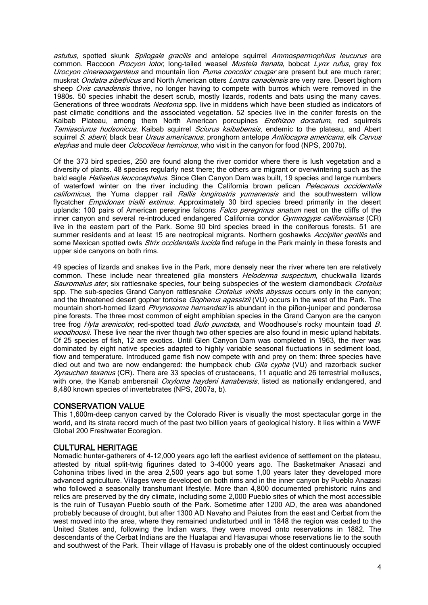astutus, spotted skunk Spilogale gracilis and antelope squirrel Ammospermophilus leucurus are common. Raccoon Procyon lotor, long-tailed weasel Mustela frenata, bobcat Lynx rufus, grey fox Urocyon cinereoargenteus and mountain lion Puma concolor cougar are present but are much rarer; muskrat Ondatra zibethicus and North American otters Lontra canadensis are very rare. Desert bighorn sheep Ovis canadensis thrive, no longer having to compete with burros which were removed in the 1980s. 50 species inhabit the desert scrub, mostly lizards, rodents and bats using the many caves. Generations of three woodrats Neotoma spp. live in middens which have been studied as indicators of past climatic conditions and the associated vegetation. 52 species live in the conifer forests on the Kaibab Plateau, among them North American porcupines Erethizon dorsatum, red squirrels Tamiasciurus hudsonicus, Kaibab squirrel Sciurus kaibabensis, endemic to the plateau, and Abert squirrel S. aberti, black bear Ursus americanus, pronghorn antelope Antilocapra americana, elk Cervus elephas and mule deer *Odocoileus hemionus*, who visit in the canyon for food (NPS, 2007b).

Of the 373 bird species, 250 are found along the river corridor where there is lush vegetation and a diversity of plants. 48 species regularly nest there; the others are migrant or overwintering such as the bald eagle *Haliaetus leucocephalus*. Since Glen Canyon Dam was built, 19 species and large numbers of waterfowl winter on the river including the California brown pelican Pelecanus occidentalis californicus, the Yuma clapper rail Rallis longirostris yumanensis and the southwestern willow flycatcher *Empidonax triallii extimus*. Approximately 30 bird species breed primarily in the desert uplands: 100 pairs of American peregrine falcons Falco peregrinus anatum nest on the cliffs of the inner canyon and several re-introduced endangered California condor Gymnogyps californianus (CR) live in the eastern part of the Park. Some 90 bird species breed in the coniferous forests. 51 are summer residents and at least 15 are neotropical migrants. Northern goshawks Accipiter gentilis and some Mexican spotted owls *Strix occidentalis lucida* find refuge in the Park mainly in these forests and upper side canyons on both rims.

49 species of lizards and snakes live in the Park, more densely near the river where ten are relatively common. These include near threatened gila monsters Heloderma suspectum, chuckwalla lizards Sauromalus ater, six rattlesnake species, four being subspecies of the western diamondback Crotalus spp. The sub-species Grand Canyon rattlesnake Crotalus viridis abyssus occurs only in the canyon; and the threatened desert gopher tortoise *Gopherus agassizii* (VU) occurs in the west of the Park. The mountain short-horned lizard *Phrynosoma hernandezi* is abundant in the piñon-juniper and ponderosa pine forests. The three most common of eight amphibian species in the Grand Canyon are the canyon tree frog *Hyla arenicolor*, red-spotted toad *Bufo punctata*, and Woodhouse's rocky mountain toad B. woodhousii. These live near the river though two other species are also found in mesic upland habitats. Of 25 species of fish, 12 are exotics. Until Glen Canyon Dam was completed in 1963, the river was dominated by eight native species adapted to highly variable seasonal fluctuations in sediment load, flow and temperature. Introduced game fish now compete with and prey on them: three species have died out and two are now endangered: the humpback chub *Gila cypha* (VU) and razorback sucker Xyrauchen texanus (CR). There are 33 species of crustaceans, 11 aquatic and 26 terrestrial molluscs, with one, the Kanab ambersnail *Oxyloma haydeni kanabensis*, listed as nationally endangered, and 8,480 known species of invertebrates (NPS, 2007a, b).

#### CONSERVATION VALUE

This 1,600m-deep canyon carved by the Colorado River is visually the most spectacular gorge in the world, and its strata record much of the past two billion years of geological history. It lies within a WWF Global 200 Freshwater Ecoregion.

## CULTURAL HERITAGE

Nomadic hunter-gatherers of 4-12,000 years ago left the earliest evidence of settlement on the plateau, attested by ritual split-twig figurines dated to 3-4000 years ago. The Basketmaker Anasazi and Cohonina tribes lived in the area 2,500 years ago but some 1,00 years later they developed more advanced agriculture. Villages were developed on both rims and in the inner canyon by Pueblo Anazasi who followed a seasonally transhumant lifestyle. More than 4,800 documented prehistoric ruins and relics are preserved by the dry climate, including some 2,000 Pueblo sites of which the most accessible is the ruin of Tusayan Pueblo south of the Park. Sometime after 1200 AD, the area was abandoned probably because of drought, but after 1300 AD Navaho and Paiutes from the east and Cerbat from the west moved into the area, where they remained undisturbed until in 1848 the region was ceded to the United States and, following the Indian wars, they were moved onto reservations in 1882. The descendants of the Cerbat Indians are the Hualapai and Havasupai whose reservations lie to the south and southwest of the Park. Their village of Havasu is probably one of the oldest continuously occupied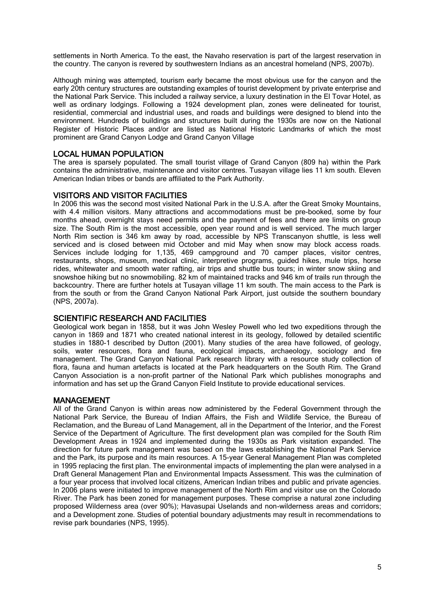settlements in North America. To the east, the Navaho reservation is part of the largest reservation in the country. The canyon is revered by southwestern Indians as an ancestral homeland (NPS, 2007b).

Although mining was attempted, tourism early became the most obvious use for the canyon and the early 20th century structures are outstanding examples of tourist development by private enterprise and the National Park Service. This included a railway service, a luxury destination in the El Tovar Hotel, as well as ordinary lodgings. Following a 1924 development plan, zones were delineated for tourist, residential, commercial and industrial uses, and roads and buildings were designed to blend into the environment. Hundreds of buildings and structures built during the 1930s are now on the National Register of Historic Places and/or are listed as National Historic Landmarks of which the most prominent are Grand Canyon Lodge and Grand Canyon Village

#### LOCAL HUMAN POPULATION

The area is sparsely populated. The small tourist village of Grand Canyon (809 ha) within the Park contains the administrative, maintenance and visitor centres. Tusayan village lies 11 km south. Eleven American Indian tribes or bands are affiliated to the Park Authority.

#### VISITORS AND VISITOR FACILITIES

In 2006 this was the second most visited National Park in the U.S.A. after the Great Smoky Mountains, with 4.4 million visitors. Many attractions and accommodations must be pre-booked, some by four months ahead, overnight stays need permits and the payment of fees and there are limits on group size. The South Rim is the most accessible, open year round and is well serviced. The much larger North Rim section is 346 km away by road, accessible by NPS Transcanyon shuttle, is less well serviced and is closed between mid October and mid May when snow may block access roads. Services include lodging for 1,135, 469 campground and 70 camper places, visitor centres, restaurants, shops, museum, medical clinic, interpretive programs, guided hikes, mule trips, horse rides, whitewater and smooth water rafting, air trips and shuttle bus tours; in winter snow skiing and snowshoe hiking but no snowmobiling. 82 km of maintained tracks and 946 km of trails run through the backcountry. There are further hotels at Tusayan village 11 km south. The main access to the Park is from the south or from the Grand Canyon National Park Airport, just outside the southern boundary (NPS, 2007a).

#### SCIENTIFIC RESEARCH AND FACILITIES

Geological work began in 1858, but it was [John Wesley Powell](http://en.wikipedia.org/wiki/John_Wesley_Powell) who led two expeditions through the canyon in 1869 and 1871 who created national interest in its geology, followed by detailed scientific studies in 1880-1 described by Dutton (2001). Many studies of the area have followed, of geology, soils, water resources, flora and fauna, ecological impacts, archaeology, sociology and fire management. The Grand Canyon National Park research library with a resource study collection of flora, fauna and human artefacts is located at the Park headquarters on the South Rim. The Grand Canyon Association is a non-profit partner of the National Park which publishes monographs and information and has set up the Grand Canyon Field Institute to provide educational services.

## MANAGEMENT

All of the Grand Canyon is within areas now administered by the Federal Government through the National Park Service, the Bureau of Indian Affairs, the Fish and Wildlife Service, the Bureau of Reclamation, and the Bureau of Land Management, all in the Department of the Interior, and the Forest Service of the Department of Agriculture. The first development plan was compiled for the South Rim Development Areas in 1924 and implemented during the 1930s as Park visitation expanded. The direction for future park management was based on the laws establishing the National Park Service and the Park, its purpose and its main resources. A 15-year General Management Plan was completed in 1995 replacing the first plan. The environmental impacts of implementing the plan were analysed in a Draft General Management Plan and Environmental Impacts Assessment. This was the culmination of a four year process that involved local citizens, American Indian tribes and public and private agencies. In 2006 plans were initiated to improve management of the North Rim and visitor use on the Colorado River. The Park has been zoned for management purposes. These comprise a natural zone including proposed Wilderness area (over 90%); Havasupai Uselands and non-wilderness areas and corridors; and a Development zone. Studies of potential boundary adjustments may result in recommendations to revise park boundaries (NPS, 1995).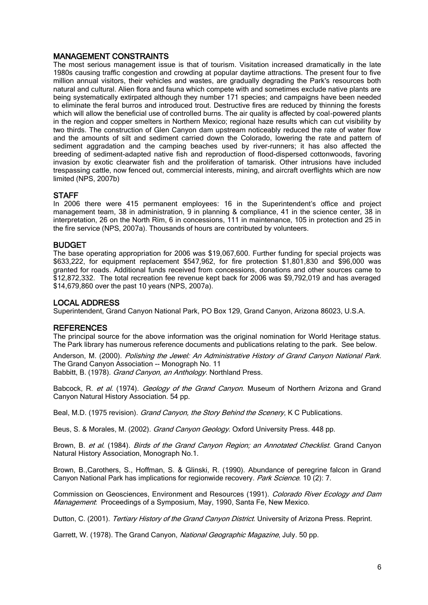#### MANAGEMENT CONSTRAINTS

The most serious management issue is that of tourism. Visitation increased dramatically in the late 1980s causing traffic congestion and crowding at popular daytime attractions. The present four to five million annual visitors, their vehicles and wastes, are gradually degrading the Park's resources both natural and cultural. Alien flora and fauna which compete with and sometimes exclude native plants are being systematically extirpated although they number 171 species; and campaigns have been needed to eliminate the feral burros and introduced trout. Destructive fires are reduced by thinning the forests which will allow the beneficial use of controlled burns. The air quality is affected by coal-powered plants in the region and copper smelters in Northern Mexico; regional haze results which can cut visibility by two thirds. The construction of Glen Canyon dam upstream noticeably reduced the rate of water flow and the amounts of silt and sediment carried down the Colorado, lowering the rate and pattern of sediment aggradation and the camping beaches used by river-runners; it has also affected the breeding of sediment-adapted native fish and reproduction of flood-dispersed cottonwoods, favoring invasion by exotic clearwater fish and the proliferation of tamarisk. Other intrusions have included trespassing cattle, now fenced out, commercial interests, mining, and aircraft overflights which are now limited (NPS, 2007b)

#### **STAFF**

In 2006 there were 415 permanent employees: 16 in the Superintendent's office and project management team, 38 in administration, 9 in planning & compliance, 41 in the science center, 38 in interpretation, 26 on the North Rim, 6 in concessions, 111 in maintenance, 105 in protection and 25 in the fire service (NPS, 2007a). Thousands of hours are contributed by volunteers.

#### BUDGET

The base operating appropriation for 2006 was \$19,067,600. Further funding for special projects was \$633,222, for equipment replacement \$547,962, for fire protection \$1,801,830 and \$96,000 was granted for roads. Additional funds received from concessions, donations and other sources came to \$12,872,332. The total recreation fee revenue kept back for 2006 was \$9,792,019 and has averaged \$14,679,860 over the past 10 years (NPS, 2007a).

#### LOCAL ADDRESS

Superintendent, Grand Canyon National Park, PO Box 129, Grand Canyon, Arizona 86023, U.S.A.

#### **REFERENCES**

The principal source for the above information was the original nomination for World Heritage status. The Park library has numerous reference documents and publications relating to the park. See below.

Anderson, M. (2000). Polishing the Jewel: An Administrative History of Grand Canyon National Park. The [Grand Canyon Association](http://www.grandcanyon.org/) -- Monograph No. 11

Babbitt, B. (1978). Grand Canyon, an Anthology. Northland Press.

Babcock, R. et al. (1974). Geology of the Grand Canyon. Museum of Northern Arizona and Grand Canyon Natural History Association. 54 pp.

Beal, M.D. (1975 revision). *Grand Canyon, the Story Behind the Scenery*, K C Publications.

Beus, S. & Morales, M. (2002). [Grand Canyon Geology](http://www.amazon.com/Grand-Canyon-Geology-Stanley-Beus/dp/0195122992/ref=cm_lmf_tit_15). Oxford University Press. 448 pp.

Brown, B. et al. (1984). Birds of the Grand Canvon Region; an Annotated Checklist. Grand Canvon Natural History Association, Monograph No.1.

Brown, B.,Carothers, S., Hoffman, S. & Glinski, R. (1990). Abundance of peregrine falcon in Grand Canyon National Park has implications for regionwide recovery. Park Science. 10 (2): 7.

Commission on Geosciences, Environment and Resources (1991). Colorado River Ecology and Dam Management: Proceedings of a Symposium, May, 1990, Santa Fe, New Mexico.

Dutton, C. (2001). Tertiary History of the Grand Canyon District. University of Arizona Press. Reprint.

Garrett, W. (1978). The Grand Canyon, National Geographic Magazine, July. 50 pp.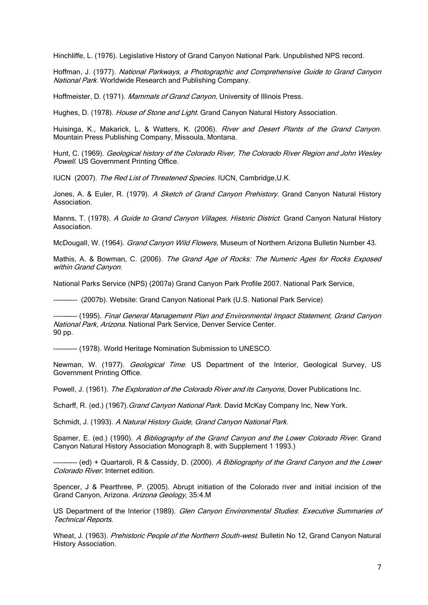Hinchliffe, L. (1976). Legislative History of Grand Canyon National Park. Unpublished NPS record.

Hoffman, J. (1977). National Parkways, a Photographic and Comprehensive Guide to Grand Canyon National Park. Worldwide Research and Publishing Company.

Hoffmeister, D. (1971). Mammals of Grand Canyon, University of Illinois Press.

Hughes, D. (1978). House of Stone and Light. Grand Canyon Natural History Association.

Huisinga, K., Makarick, L. & Watters, K. (2006). River and Desert Plants of the Grand Canyon. Mountain Press Publishing Company, Missoula, Montana.

Hunt, C. (1969). Geological history of the Colorado River, The Colorado River Region and John Wesley Powell. US Government Printing Office.

IUCN (2007). The Red List of Threatened Species. IUCN, Cambridge, U.K.

Jones, A. & Euler, R. (1979). A Sketch of Grand Canyon Prehistory. Grand Canyon Natural History **Association** 

Manns, T. (1978). A Guide to Grand Canyon Villages, Historic District. Grand Canyon Natural History Association.

McDougall, W. (1964). *Grand Canyon Wild Flowers*, Museum of Northern Arizona Bulletin Number 43.

Mathis, A. & Bowman, C. (2006). The Grand Age of Rocks: The Numeric Ages for Rocks Exposed within Grand Canyon.

National Parks Service (NPS) (2007a) Grand Canyon Park Profile 2007. National Park Service,

---------- (2007b). Website: [Grand Canyon National Park \(U.S. National Park Service\)](http://www.nps.gov/grca/)

---------- (1995). Final General Management Plan and Environmental Impact Statement, Grand Canyon National Park, Arizona. National Park Service, Denver Service Center. 90 pp.

---------- (1978). World Heritage Nomination Submission to UNESCO.

Newman, W. (1977). Geological Time. US Department of the Interior, Geological Survey, US Government Printing Office.

Powell, J. (1961). The Exploration of the Colorado River and its Canyons, Dover Publications Inc.

Scharff, R. (ed.) (1967). Grand Canyon National Park. David McKay Company Inc, New York.

Schmidt, J. (1993). A Natural History Guide, Grand Canyon National Park.

Spamer, E. (ed.) (1990). A Bibliography of the Grand Canyon and the Lower Colorado River. Grand Canyon Natural History Association Monograph 8, with Supplement 1 1993.)

------- (ed) + Quartaroli, R & Cassidy, D. (2000). A Bibliography of the Grand Canyon and the Lower Colorado River. Internet edition.

Spencer, J & Pearthree, P. (2005). Abrupt initiation of the Colorado river and initial incision of the Grand Canyon, Arizona. Arizona Geology, 35:4.M

US Department of the Interior (1989). Glen Canyon Environmental Studies: Executive Summaries of Technical Reports.

Wheat, J. (1963). Prehistoric People of the Northern South-west. Bulletin No 12, Grand Canyon Natural History Association.